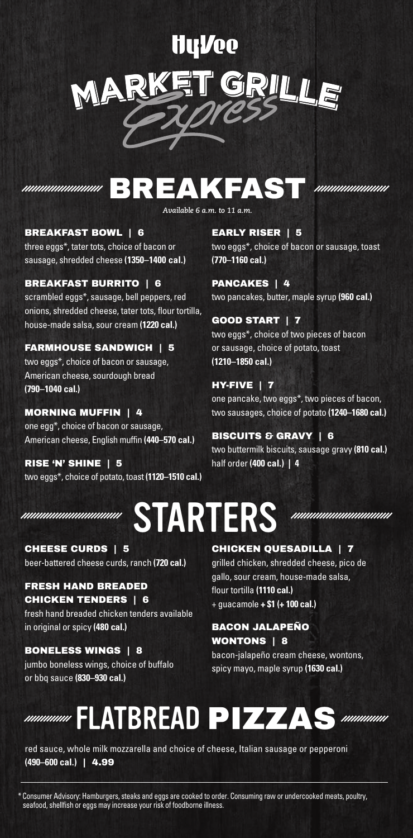## **Hullee** GRILL MA

## **MMMMMMMMHHHBREAKFAST**

### BREAKFAST BOWL | 6

three eggs\*, tater tots, choice of bacon or sausage, shredded cheese **(1350–1400 cal.)**

### BREAKFAST BURRITO | 6

scrambled eggs\*, sausage, bell peppers, red onions, shredded cheese, tater tots, flour tortilla, house-made salsa, sour cream **(1220 cal.)**

### FARMHOUSE SANDWICH | 5

two eggs\*, choice of bacon or sausage, American cheese, sourdough bread **(790–1040 cal.)**

### MORNING MUFFIN | 4

one egg\*, choice of bacon or sausage, American cheese, English muffin **(440–570 cal.)**

RISE 'N' SHINE | 5 two eggs\*, choice of potato, toast **(1120–1510 cal.)**

STARTERS

CHEESE CURDS | 5 beer-battered cheese curds, ranch **(720 cal.)**

### FRESH HAND BREADED CHICKEN TENDERS | 6

fresh hand breaded chicken tenders available in original or spicy **(480 cal.)**

BONELESS WINGS | 8 jumbo boneless wings, choice of buffalo or bbq sauce **(830–930 cal.)**

### EARLY RISER | 5

two eggs\*, choice of bacon or sausage, toast **(770–1160 cal.)**

PANCAKES | 4 two pancakes, butter, maple syrup **(960 cal.)**

### GOOD START | 7

two eggs\*, choice of two pieces of bacon or sausage, choice of potato, toast **(1210–1850 cal.)**

### HY-FIVE | 7

one pancake, two eggs\*, two pieces of bacon, two sausages, choice of potato **(1240–1680 cal.)**

### BISCUITS & GRAVY | 6

two buttermilk biscuits, sausage gravy **(810 cal.)** half order **(400 cal.) | 4**

*mmmmmmmmmm* 

### CHICKEN QUESADILLA | 7

grilled chicken, shredded cheese, pico de gallo, sour cream, house-made salsa, flour tortilla **(1110 cal.)** + guacamole **+ \$1 (+ 100 cal.)**

### BACON JALAPEÑO WONTONS | 8

bacon-jalapeño cream cheese, wontons, spicy mayo, maple syrup **(1630 cal.)**



red sauce, whole milk mozzarella and choice of cheese, Italian sausage or pepperoni **(490–600 cal.)** | 4.99

\* Consumer Advisory: Hamburgers, steaks and eggs are cooked to order. Consuming raw or undercooked meats, poultry, seafood, shellfish or eggs may increase your risk of foodborne illness.